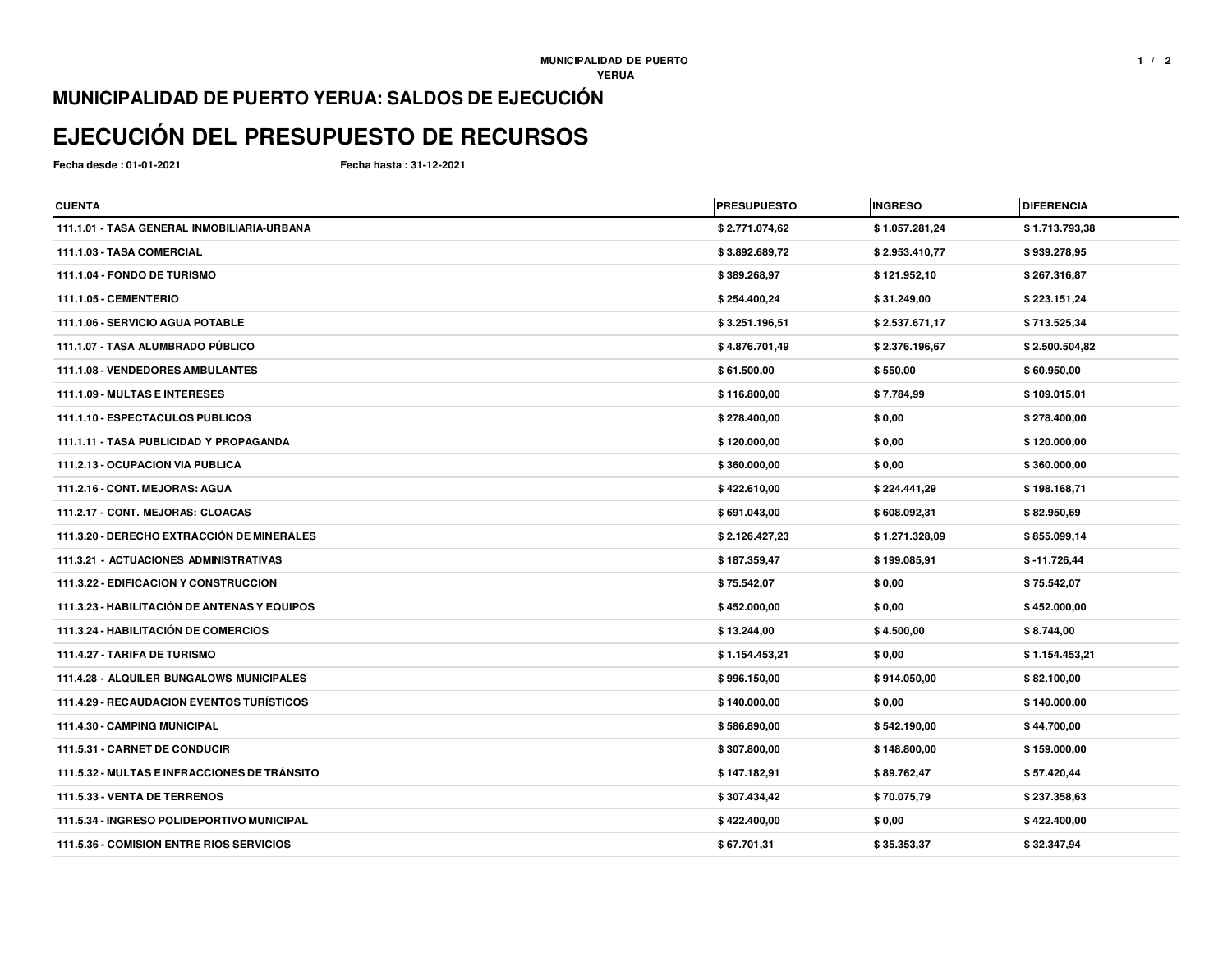## **MUNICIPALIDAD DE PUERTO YERUA: SALDOS DE EJECUCIÓN**

## **EJECUCIÓN DEL PRESUPUESTO DE RECURSOS**

**Fecha desde : 01-01-2021**

**Fecha hasta : 31-12-2021**

| <b>CUENTA</b>                                    | <b>PRESUPUESTO</b> | <b>INGRESO</b> | <b>DIFERENCIA</b> |
|--------------------------------------------------|--------------------|----------------|-------------------|
| 111.1.01 - TASA GENERAL INMOBILIARIA-URBANA      | \$2.771.074,62     | \$1.057.281,24 | \$1.713.793,38    |
| 111.1.03 - TASA COMERCIAL                        | \$3.892.689,72     | \$2.953.410,77 | \$939.278,95      |
| 111.1.04 - FONDO DE TURISMO                      | \$389.268,97       | \$121.952,10   | \$267.316,87      |
| 111.1.05 - CEMENTERIO                            | \$254.400,24       | \$31.249,00    | \$223.151,24      |
| 111.1.06 - SERVICIO AGUA POTABLE                 | \$3.251.196,51     | \$2.537.671,17 | \$713.525,34      |
| 111.1.07 - TASA ALUMBRADO PÚBLICO                | \$4.876.701,49     | \$2.376.196,67 | \$2.500.504,82    |
| 111.1.08 - VENDEDORES AMBULANTES                 | \$61.500,00        | \$550,00       | \$60.950,00       |
| 111.1.09 - MULTAS E INTERESES                    | \$116.800,00       | \$7.784,99     | \$109.015,01      |
| 111.1.10 - ESPECTACULOS PUBLICOS                 | \$278.400,00       | \$0,00         | \$278.400,00      |
| 111.1.11 - TASA PUBLICIDAD Y PROPAGANDA          | \$120.000,00       | \$0,00         | \$120.000,00      |
| 111.2.13 - OCUPACION VIA PUBLICA                 | \$360.000,00       | \$0,00         | \$360.000,00      |
| 111.2.16 - CONT. MEJORAS: AGUA                   | \$422.610,00       | \$224.441,29   | \$198.168,71      |
| 111.2.17 - CONT. MEJORAS: CLOACAS                | \$691.043,00       | \$608.092,31   | \$82.950,69       |
| 111.3.20 - DERECHO EXTRACCIÓN DE MINERALES       | \$2.126.427,23     | \$1.271.328,09 | \$855.099,14      |
| 111.3.21 - ACTUACIONES ADMINISTRATIVAS           | \$187.359,47       | \$199.085,91   | $$ -11.726,44$    |
| <b>111.3.22 - EDIFICACION Y CONSTRUCCION</b>     | \$75.542,07        | \$0,00         | \$75.542,07       |
| 111.3.23 - HABILITACIÓN DE ANTENAS Y EQUIPOS     | \$452.000,00       | \$0,00         | \$452.000,00      |
| 111.3.24 - HABILITACIÓN DE COMERCIOS             | \$13.244,00        | \$4.500,00     | \$8.744,00        |
| 111.4.27 - TARIFA DE TURISMO                     | \$1.154.453,21     | \$0,00         | \$1.154.453,21    |
| <b>111.4.28 - ALQUILER BUNGALOWS MUNICIPALES</b> | \$996.150,00       | \$914.050,00   | \$82.100,00       |
| <b>111.4.29 - RECAUDACION EVENTOS TURÍSTICOS</b> | \$140.000,00       | \$0,00         | \$140.000,00      |
| <b>111.4.30 - CAMPING MUNICIPAL</b>              | \$586.890,00       | \$542.190,00   | \$44.700,00       |
| 111.5.31 - CARNET DE CONDUCIR                    | \$307.800,00       | \$148.800,00   | \$159.000,00      |
| 111.5.32 - MULTAS E INFRACCIONES DE TRÁNSITO     | \$147.182,91       | \$89.762,47    | \$57.420,44       |
| 111.5.33 - VENTA DE TERRENOS                     | \$307.434,42       | \$70.075,79    | \$237.358,63      |
| 111.5.34 - INGRESO POLIDEPORTIVO MUNICIPAL       | \$422.400,00       | \$0,00         | \$422.400,00      |
| 111.5.36 - COMISION ENTRE RIOS SERVICIOS         | \$67.701,31        | \$35.353,37    | \$32.347,94       |
|                                                  |                    |                |                   |